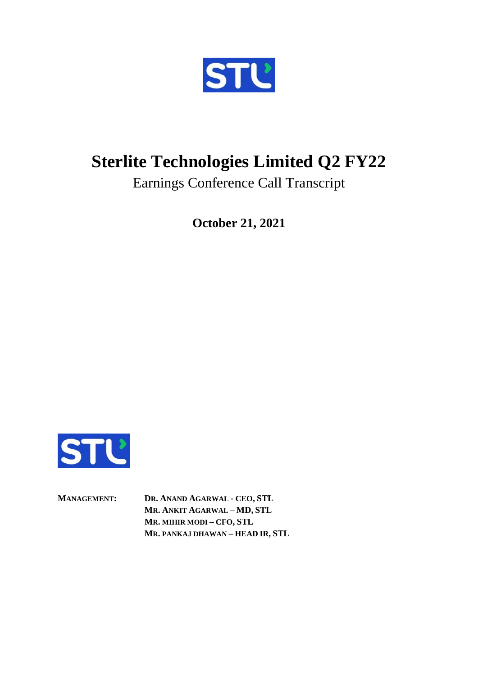

## **Sterlite Technologies Limited Q2 FY22**

Earnings Conference Call Transcript

**October 21, 2021**



**MANAGEMENT: DR. ANAND AGARWAL - CEO, STL MR. ANKIT AGARWAL – MD, STL MR. MIHIR MODI – CFO, STL MR. PANKAJ DHAWAN – HEAD IR, STL**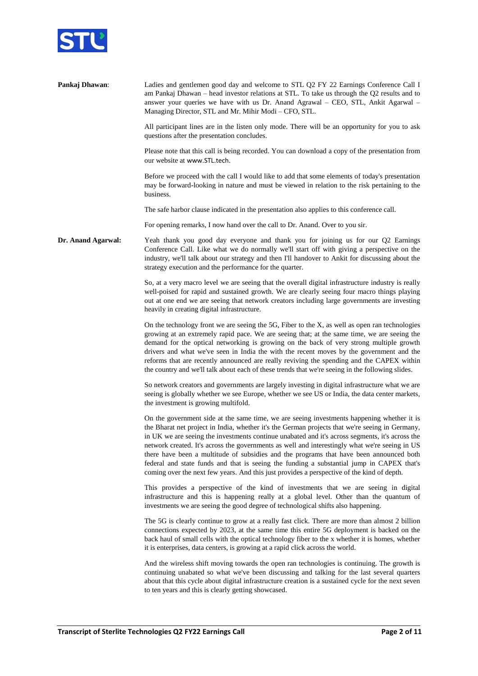

| Pankaj Dhawan:     | Ladies and gentlemen good day and welcome to STL Q2 FY 22 Earnings Conference Call I<br>am Pankaj Dhawan – head investor relations at STL. To take us through the Q2 results and to<br>answer your queries we have with us Dr. Anand Agrawal - CEO, STL, Ankit Agarwal -<br>Managing Director, STL and Mr. Mihir Modi - CFO, STL.                                                                                                                                                                                                                                                                                                                                                        |
|--------------------|------------------------------------------------------------------------------------------------------------------------------------------------------------------------------------------------------------------------------------------------------------------------------------------------------------------------------------------------------------------------------------------------------------------------------------------------------------------------------------------------------------------------------------------------------------------------------------------------------------------------------------------------------------------------------------------|
|                    | All participant lines are in the listen only mode. There will be an opportunity for you to ask<br>questions after the presentation concludes.                                                                                                                                                                                                                                                                                                                                                                                                                                                                                                                                            |
|                    | Please note that this call is being recorded. You can download a copy of the presentation from<br>our website at www.STL.tech.                                                                                                                                                                                                                                                                                                                                                                                                                                                                                                                                                           |
|                    | Before we proceed with the call I would like to add that some elements of today's presentation<br>may be forward-looking in nature and must be viewed in relation to the risk pertaining to the<br>business.                                                                                                                                                                                                                                                                                                                                                                                                                                                                             |
|                    | The safe harbor clause indicated in the presentation also applies to this conference call.                                                                                                                                                                                                                                                                                                                                                                                                                                                                                                                                                                                               |
|                    | For opening remarks, I now hand over the call to Dr. Anand. Over to you sir.                                                                                                                                                                                                                                                                                                                                                                                                                                                                                                                                                                                                             |
| Dr. Anand Agarwal: | Yeah thank you good day everyone and thank you for joining us for our Q2 Earnings<br>Conference Call. Like what we do normally we'll start off with giving a perspective on the<br>industry, we'll talk about our strategy and then I'll handover to Ankit for discussing about the<br>strategy execution and the performance for the quarter.                                                                                                                                                                                                                                                                                                                                           |
|                    | So, at a very macro level we are seeing that the overall digital infrastructure industry is really<br>well-poised for rapid and sustained growth. We are clearly seeing four macro things playing<br>out at one end we are seeing that network creators including large governments are investing<br>heavily in creating digital infrastructure.                                                                                                                                                                                                                                                                                                                                         |
|                    | On the technology front we are seeing the 5G, Fiber to the X, as well as open ran technologies<br>growing at an extremely rapid pace. We are seeing that; at the same time, we are seeing the<br>demand for the optical networking is growing on the back of very strong multiple growth<br>drivers and what we've seen in India the with the recent moves by the government and the<br>reforms that are recently announced are really reviving the spending and the CAPEX within<br>the country and we'll talk about each of these trends that we're seeing in the following slides.                                                                                                    |
|                    | So network creators and governments are largely investing in digital infrastructure what we are<br>seeing is globally whether we see Europe, whether we see US or India, the data center markets,<br>the investment is growing multifold.                                                                                                                                                                                                                                                                                                                                                                                                                                                |
|                    | On the government side at the same time, we are seeing investments happening whether it is<br>the Bharat net project in India, whether it's the German projects that we're seeing in Germany,<br>in UK we are seeing the investments continue unabated and it's across segments, it's across the<br>network created. It's across the governments as well and interestingly what we're seeing in US<br>there have been a multitude of subsidies and the programs that have been announced both<br>federal and state funds and that is seeing the funding a substantial jump in CAPEX that's<br>coming over the next few years. And this just provides a perspective of the kind of depth. |
|                    | This provides a perspective of the kind of investments that we are seeing in digital<br>infrastructure and this is happening really at a global level. Other than the quantum of<br>investments we are seeing the good degree of technological shifts also happening.                                                                                                                                                                                                                                                                                                                                                                                                                    |
|                    | The 5G is clearly continue to grow at a really fast click. There are more than almost 2 billion<br>connections expected by 2023, at the same time this entire 5G deployment is backed on the<br>back haul of small cells with the optical technology fiber to the x whether it is homes, whether<br>it is enterprises, data centers, is growing at a rapid click across the world.                                                                                                                                                                                                                                                                                                       |
|                    | And the wireless shift moving towards the open ran technologies is continuing. The growth is<br>continuing unabated so what we've been discussing and talking for the last several quarters<br>about that this cycle about digital infrastructure creation is a sustained cycle for the next seven<br>to ten years and this is clearly getting showcased.                                                                                                                                                                                                                                                                                                                                |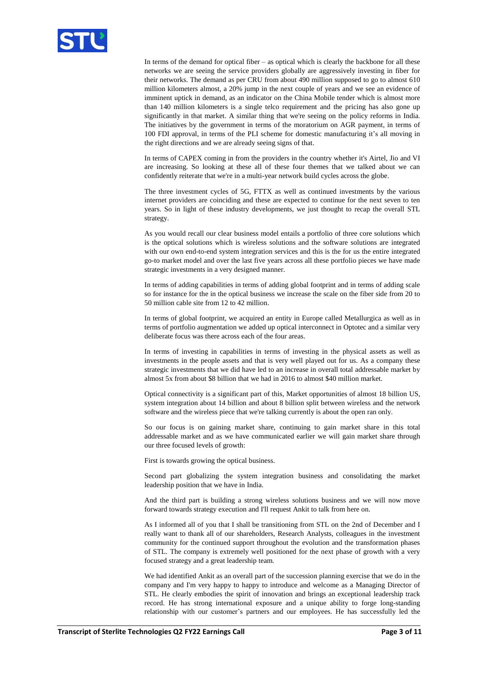

In terms of the demand for optical fiber – as optical which is clearly the backbone for all these networks we are seeing the service providers globally are aggressively investing in fiber for their networks. The demand as per CRU from about 490 million supposed to go to almost 610 million kilometers almost, a 20% jump in the next couple of years and we see an evidence of imminent uptick in demand, as an indicator on the China Mobile tender which is almost more than 140 million kilometers is a single telco requirement and the pricing has also gone up significantly in that market. A similar thing that we're seeing on the policy reforms in India. The initiatives by the government in terms of the moratorium on AGR payment, in terms of 100 FDI approval, in terms of the PLI scheme for domestic manufacturing it's all moving in the right directions and we are already seeing signs of that.

In terms of CAPEX coming in from the providers in the country whether it's Airtel, Jio and VI are increasing. So looking at these all of these four themes that we talked about we can confidently reiterate that we're in a multi-year network build cycles across the globe.

The three investment cycles of 5G, FTTX as well as continued investments by the various internet providers are coinciding and these are expected to continue for the next seven to ten years. So in light of these industry developments, we just thought to recap the overall STL strategy.

As you would recall our clear business model entails a portfolio of three core solutions which is the optical solutions which is wireless solutions and the software solutions are integrated with our own end-to-end system integration services and this is the for us the entire integrated go-to market model and over the last five years across all these portfolio pieces we have made strategic investments in a very designed manner.

In terms of adding capabilities in terms of adding global footprint and in terms of adding scale so for instance for the in the optical business we increase the scale on the fiber side from 20 to 50 million cable site from 12 to 42 million.

In terms of global footprint, we acquired an entity in Europe called Metallurgica as well as in terms of portfolio augmentation we added up optical interconnect in Optotec and a similar very deliberate focus was there across each of the four areas.

In terms of investing in capabilities in terms of investing in the physical assets as well as investments in the people assets and that is very well played out for us. As a company these strategic investments that we did have led to an increase in overall total addressable market by almost 5x from about \$8 billion that we had in 2016 to almost \$40 million market.

Optical connectivity is a significant part of this, Market opportunities of almost 18 billion US, system integration about 14 billion and about 8 billion split between wireless and the network software and the wireless piece that we're talking currently is about the open ran only.

So our focus is on gaining market share, continuing to gain market share in this total addressable market and as we have communicated earlier we will gain market share through our three focused levels of growth:

First is towards growing the optical business.

Second part globalizing the system integration business and consolidating the market leadership position that we have in India.

And the third part is building a strong wireless solutions business and we will now move forward towards strategy execution and I'll request Ankit to talk from here on.

As I informed all of you that I shall be transitioning from STL on the 2nd of December and I really want to thank all of our shareholders, Research Analysts, colleagues in the investment community for the continued support throughout the evolution and the transformation phases of STL. The company is extremely well positioned for the next phase of growth with a very focused strategy and a great leadership team.

We had identified Ankit as an overall part of the succession planning exercise that we do in the company and I'm very happy to happy to introduce and welcome as a Managing Director of STL. He clearly embodies the spirit of innovation and brings an exceptional leadership track record. He has strong international exposure and a unique ability to forge long-standing relationship with our customer's partners and our employees. He has successfully led the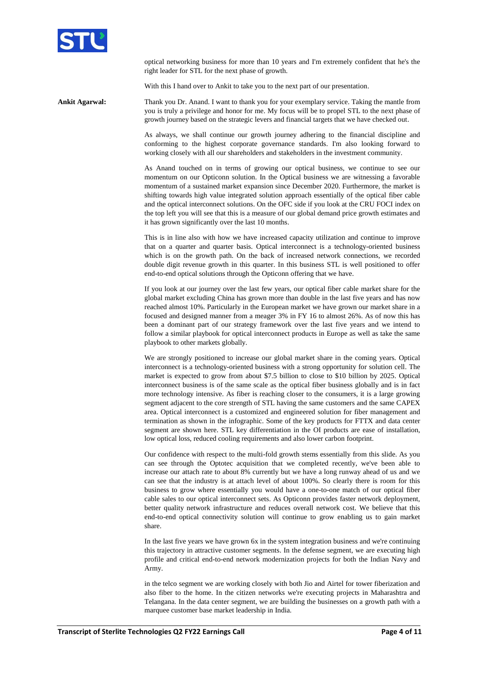

optical networking business for more than 10 years and I'm extremely confident that he's the right leader for STL for the next phase of growth.

With this I hand over to Ankit to take you to the next part of our presentation.

**Ankit Agarwal:** Thank you Dr. Anand. I want to thank you for your exemplary service. Taking the mantle from you is truly a privilege and honor for me. My focus will be to propel STL to the next phase of growth journey based on the strategic levers and financial targets that we have checked out.

> As always, we shall continue our growth journey adhering to the financial discipline and conforming to the highest corporate governance standards. I'm also looking forward to working closely with all our shareholders and stakeholders in the investment community.

> As Anand touched on in terms of growing our optical business, we continue to see our momentum on our Opticonn solution. In the Optical business we are witnessing a favorable momentum of a sustained market expansion since December 2020. Furthermore, the market is shifting towards high value integrated solution approach essentially of the optical fiber cable and the optical interconnect solutions. On the OFC side if you look at the CRU FOCI index on the top left you will see that this is a measure of our global demand price growth estimates and it has grown significantly over the last 10 months.

> This is in line also with how we have increased capacity utilization and continue to improve that on a quarter and quarter basis. Optical interconnect is a technology-oriented business which is on the growth path. On the back of increased network connections, we recorded double digit revenue growth in this quarter. In this business STL is well positioned to offer end-to-end optical solutions through the Opticonn offering that we have.

> If you look at our journey over the last few years, our optical fiber cable market share for the global market excluding China has grown more than double in the last five years and has now reached almost 10%. Particularly in the European market we have grown our market share in a focused and designed manner from a meager 3% in FY 16 to almost 26%. As of now this has been a dominant part of our strategy framework over the last five years and we intend to follow a similar playbook for optical interconnect products in Europe as well as take the same playbook to other markets globally.

> We are strongly positioned to increase our global market share in the coming years. Optical interconnect is a technology-oriented business with a strong opportunity for solution cell. The market is expected to grow from about \$7.5 billion to close to \$10 billion by 2025. Optical interconnect business is of the same scale as the optical fiber business globally and is in fact more technology intensive. As fiber is reaching closer to the consumers, it is a large growing segment adjacent to the core strength of STL having the same customers and the same CAPEX area. Optical interconnect is a customized and engineered solution for fiber management and termination as shown in the infographic. Some of the key products for FTTX and data center segment are shown here. STL key differentiation in the OI products are ease of installation, low optical loss, reduced cooling requirements and also lower carbon footprint.

> Our confidence with respect to the multi-fold growth stems essentially from this slide. As you can see through the Optotec acquisition that we completed recently, we've been able to increase our attach rate to about 8% currently but we have a long runway ahead of us and we can see that the industry is at attach level of about 100%. So clearly there is room for this business to grow where essentially you would have a one-to-one match of our optical fiber cable sales to our optical interconnect sets. As Opticonn provides faster network deployment, better quality network infrastructure and reduces overall network cost. We believe that this end-to-end optical connectivity solution will continue to grow enabling us to gain market share.

> In the last five years we have grown 6x in the system integration business and we're continuing this trajectory in attractive customer segments. In the defense segment, we are executing high profile and critical end-to-end network modernization projects for both the Indian Navy and Army.

> in the telco segment we are working closely with both Jio and Airtel for tower fiberization and also fiber to the home. In the citizen networks we're executing projects in Maharashtra and Telangana. In the data center segment, we are building the businesses on a growth path with a marquee customer base market leadership in India.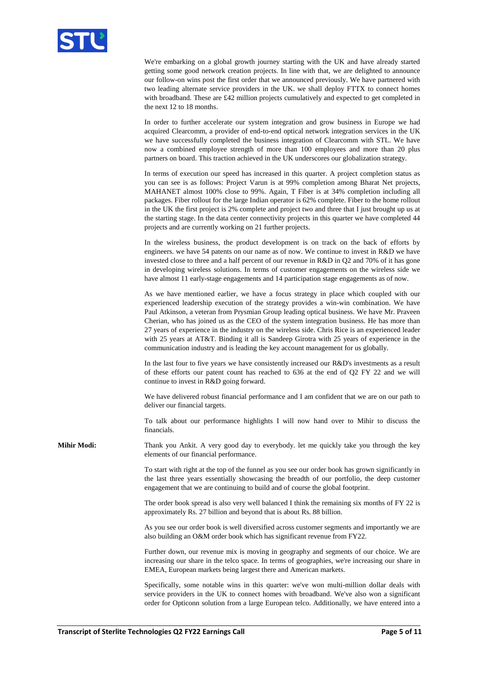

We're embarking on a global growth journey starting with the UK and have already started getting some good network creation projects. In line with that, we are delighted to announce our follow-on wins post the first order that we announced previously. We have partnered with two leading alternate service providers in the UK. we shall deploy FTTX to connect homes with broadband. These are £42 million projects cumulatively and expected to get completed in the next 12 to 18 months.

In order to further accelerate our system integration and grow business in Europe we had acquired Clearcomm, a provider of end-to-end optical network integration services in the UK we have successfully completed the business integration of Clearcomm with STL. We have now a combined employee strength of more than 100 employees and more than 20 plus partners on board. This traction achieved in the UK underscores our globalization strategy.

In terms of execution our speed has increased in this quarter. A project completion status as you can see is as follows: Project Varun is at 99% completion among Bharat Net projects, MAHANET almost 100% close to 99%. Again, T Fiber is at 34% completion including all packages. Fiber rollout for the large Indian operator is 62% complete. Fiber to the home rollout in the UK the first project is 2% complete and project two and three that I just brought up us at the starting stage. In the data center connectivity projects in this quarter we have completed 44 projects and are currently working on 21 further projects.

In the wireless business, the product development is on track on the back of efforts by engineers. we have 54 patents on our name as of now. We continue to invest in R&D we have invested close to three and a half percent of our revenue in R&D in Q2 and 70% of it has gone in developing wireless solutions. In terms of customer engagements on the wireless side we have almost 11 early-stage engagements and 14 participation stage engagements as of now.

As we have mentioned earlier, we have a focus strategy in place which coupled with our experienced leadership execution of the strategy provides a win-win combination. We have Paul Atkinson, a veteran from Prysmian Group leading optical business. We have Mr. Praveen Cherian, who has joined us as the CEO of the system integration business. He has more than 27 years of experience in the industry on the wireless side. Chris Rice is an experienced leader with 25 years at AT&T. Binding it all is Sandeep Girotra with 25 years of experience in the communication industry and is leading the key account management for us globally.

In the last four to five years we have consistently increased our R&D's investments as a result of these efforts our patent count has reached to 636 at the end of Q2 FY 22 and we will continue to invest in R&D going forward.

We have delivered robust financial performance and I am confident that we are on our path to deliver our financial targets.

To talk about our performance highlights I will now hand over to Mihir to discuss the financials.

**Mihir Modi:** Thank you Ankit. A very good day to everybody. let me quickly take you through the key elements of our financial performance.

> To start with right at the top of the funnel as you see our order book has grown significantly in the last three years essentially showcasing the breadth of our portfolio, the deep customer engagement that we are continuing to build and of course the global footprint.

> The order book spread is also very well balanced I think the remaining six months of FY 22 is approximately Rs. 27 billion and beyond that is about Rs. 88 billion.

> As you see our order book is well diversified across customer segments and importantly we are also building an O&M order book which has significant revenue from FY22.

> Further down, our revenue mix is moving in geography and segments of our choice. We are increasing our share in the telco space. In terms of geographies, we're increasing our share in EMEA, European markets being largest there and American markets.

> Specifically, some notable wins in this quarter: we've won multi-million dollar deals with service providers in the UK to connect homes with broadband. We've also won a significant order for Opticonn solution from a large European telco. Additionally, we have entered into a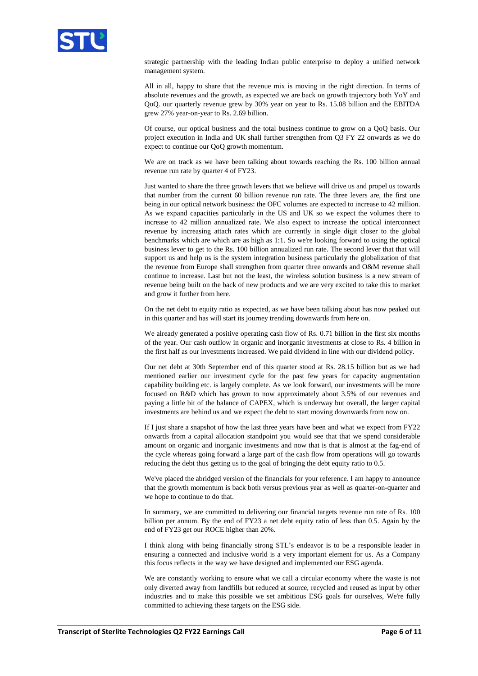

strategic partnership with the leading Indian public enterprise to deploy a unified network management system.

All in all, happy to share that the revenue mix is moving in the right direction. In terms of absolute revenues and the growth, as expected we are back on growth trajectory both YoY and QoQ. our quarterly revenue grew by 30% year on year to Rs. 15.08 billion and the EBITDA grew 27% year-on-year to Rs. 2.69 billion.

Of course, our optical business and the total business continue to grow on a QoQ basis. Our project execution in India and UK shall further strengthen from Q3 FY 22 onwards as we do expect to continue our QoQ growth momentum.

We are on track as we have been talking about towards reaching the Rs. 100 billion annual revenue run rate by quarter 4 of FY23.

Just wanted to share the three growth levers that we believe will drive us and propel us towards that number from the current 60 billion revenue run rate. The three levers are, the first one being in our optical network business: the OFC volumes are expected to increase to 42 million. As we expand capacities particularly in the US and UK so we expect the volumes there to increase to 42 million annualized rate. We also expect to increase the optical interconnect revenue by increasing attach rates which are currently in single digit closer to the global benchmarks which are which are as high as 1:1. So we're looking forward to using the optical business lever to get to the Rs. 100 billion annualized run rate. The second lever that that will support us and help us is the system integration business particularly the globalization of that the revenue from Europe shall strengthen from quarter three onwards and O&M revenue shall continue to increase. Last but not the least, the wireless solution business is a new stream of revenue being built on the back of new products and we are very excited to take this to market and grow it further from here.

On the net debt to equity ratio as expected, as we have been talking about has now peaked out in this quarter and has will start its journey trending downwards from here on.

We already generated a positive operating cash flow of Rs. 0.71 billion in the first six months of the year. Our cash outflow in organic and inorganic investments at close to Rs. 4 billion in the first half as our investments increased. We paid dividend in line with our dividend policy.

Our net debt at 30th September end of this quarter stood at Rs. 28.15 billion but as we had mentioned earlier our investment cycle for the past few years for capacity augmentation capability building etc. is largely complete. As we look forward, our investments will be more focused on R&D which has grown to now approximately about 3.5% of our revenues and paying a little bit of the balance of CAPEX, which is underway but overall, the larger capital investments are behind us and we expect the debt to start moving downwards from now on.

If I just share a snapshot of how the last three years have been and what we expect from FY22 onwards from a capital allocation standpoint you would see that that we spend considerable amount on organic and inorganic investments and now that is that is almost at the fag-end of the cycle whereas going forward a large part of the cash flow from operations will go towards reducing the debt thus getting us to the goal of bringing the debt equity ratio to 0.5.

We've placed the abridged version of the financials for your reference. I am happy to announce that the growth momentum is back both versus previous year as well as quarter-on-quarter and we hope to continue to do that.

In summary, we are committed to delivering our financial targets revenue run rate of Rs. 100 billion per annum. By the end of FY23 a net debt equity ratio of less than 0.5. Again by the end of FY23 get our ROCE higher than 20%.

I think along with being financially strong STL's endeavor is to be a responsible leader in ensuring a connected and inclusive world is a very important element for us. As a Company this focus reflects in the way we have designed and implemented our ESG agenda.

We are constantly working to ensure what we call a circular economy where the waste is not only diverted away from landfills but reduced at source, recycled and reused as input by other industries and to make this possible we set ambitious ESG goals for ourselves, We're fully committed to achieving these targets on the ESG side.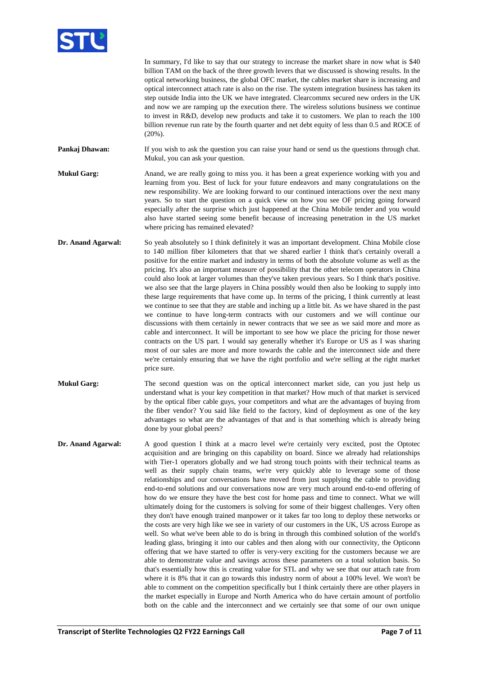

|                    | In summary, I'd like to say that our strategy to increase the market share in now what is \$40<br>billion TAM on the back of the three growth levers that we discussed is showing results. In the<br>optical networking business, the global OFC market, the cables market share is increasing and<br>optical interconnect attach rate is also on the rise. The system integration business has taken its<br>step outside India into the UK we have integrated. Clearcommx secured new orders in the UK<br>and now we are ramping up the execution there. The wireless solutions business we continue<br>to invest in R&D, develop new products and take it to customers. We plan to reach the 100<br>billion revenue run rate by the fourth quarter and net debt equity of less than 0.5 and ROCE of<br>$(20\%)$ .                                                                                                                                                                                                                                                                                                                                                                                                                                                                                                                                                                                                                                                                                                                                                                                                                                                                                                                                                                                                                                                     |
|--------------------|-------------------------------------------------------------------------------------------------------------------------------------------------------------------------------------------------------------------------------------------------------------------------------------------------------------------------------------------------------------------------------------------------------------------------------------------------------------------------------------------------------------------------------------------------------------------------------------------------------------------------------------------------------------------------------------------------------------------------------------------------------------------------------------------------------------------------------------------------------------------------------------------------------------------------------------------------------------------------------------------------------------------------------------------------------------------------------------------------------------------------------------------------------------------------------------------------------------------------------------------------------------------------------------------------------------------------------------------------------------------------------------------------------------------------------------------------------------------------------------------------------------------------------------------------------------------------------------------------------------------------------------------------------------------------------------------------------------------------------------------------------------------------------------------------------------------------------------------------------------------------|
| Pankaj Dhawan:     | If you wish to ask the question you can raise your hand or send us the questions through chat.<br>Mukul, you can ask your question.                                                                                                                                                                                                                                                                                                                                                                                                                                                                                                                                                                                                                                                                                                                                                                                                                                                                                                                                                                                                                                                                                                                                                                                                                                                                                                                                                                                                                                                                                                                                                                                                                                                                                                                                     |
| <b>Mukul Garg:</b> | Anand, we are really going to miss you. it has been a great experience working with you and<br>learning from you. Best of luck for your future endeavors and many congratulations on the<br>new responsibility. We are looking forward to our continued interactions over the next many<br>years. So to start the question on a quick view on how you see OF pricing going forward<br>especially after the surprise which just happened at the China Mobile tender and you would<br>also have started seeing some benefit because of increasing penetration in the US market<br>where pricing has remained elevated?                                                                                                                                                                                                                                                                                                                                                                                                                                                                                                                                                                                                                                                                                                                                                                                                                                                                                                                                                                                                                                                                                                                                                                                                                                                    |
| Dr. Anand Agarwal: | So yeah absolutely so I think definitely it was an important development. China Mobile close<br>to 140 million fiber kilometers that that we shared earlier I think that's certainly overall a<br>positive for the entire market and industry in terms of both the absolute volume as well as the<br>pricing. It's also an important measure of possibility that the other telecom operators in China<br>could also look at larger volumes than they've taken previous years. So I think that's positive.<br>we also see that the large players in China possibly would then also be looking to supply into<br>these large requirements that have come up. In terms of the pricing, I think currently at least<br>we continue to see that they are stable and inching up a little bit. As we have shared in the past<br>we continue to have long-term contracts with our customers and we will continue our<br>discussions with them certainly in newer contracts that we see as we said more and more as<br>cable and interconnect. It will be important to see how we place the pricing for those newer<br>contracts on the US part. I would say generally whether it's Europe or US as I was sharing<br>most of our sales are more and more towards the cable and the interconnect side and there<br>we're certainly ensuring that we have the right portfolio and we're selling at the right market<br>price sure.                                                                                                                                                                                                                                                                                                                                                                                                                                                  |
| <b>Mukul Garg:</b> | The second question was on the optical interconnect market side, can you just help us<br>understand what is your key competition in that market? How much of that market is serviced<br>by the optical fiber cable guys, your competitors and what are the advantages of buying from<br>the fiber vendor? You said like field to the factory, kind of deployment as one of the key<br>advantages so what are the advantages of that and is that something which is already being<br>done by your global peers?                                                                                                                                                                                                                                                                                                                                                                                                                                                                                                                                                                                                                                                                                                                                                                                                                                                                                                                                                                                                                                                                                                                                                                                                                                                                                                                                                          |
| Dr. Anand Agarwal: | A good question I think at a macro level we're certainly very excited, post the Optotec<br>acquisition and are bringing on this capability on board. Since we already had relationships<br>with Tier-1 operators globally and we had strong touch points with their technical teams as<br>well as their supply chain teams, we're very quickly able to leverage some of those<br>relationships and our conversations have moved from just supplying the cable to providing<br>end-to-end solutions and our conversations now are very much around end-to-end offering of<br>how do we ensure they have the best cost for home pass and time to connect. What we will<br>ultimately doing for the customers is solving for some of their biggest challenges. Very often<br>they don't have enough trained manpower or it takes far too long to deploy these networks or<br>the costs are very high like we see in variety of our customers in the UK, US across Europe as<br>well. So what we've been able to do is bring in through this combined solution of the world's<br>leading glass, bringing it into our cables and then along with our connectivity, the Opticonn<br>offering that we have started to offer is very-very exciting for the customers because we are<br>able to demonstrate value and savings across these parameters on a total solution basis. So<br>that's essentially how this is creating value for STL and why we see that our attach rate from<br>where it is 8% that it can go towards this industry norm of about a 100% level. We won't be<br>able to comment on the competition specifically but I think certainly there are other players in<br>the market especially in Europe and North America who do have certain amount of portfolio<br>both on the cable and the interconnect and we certainly see that some of our own unique |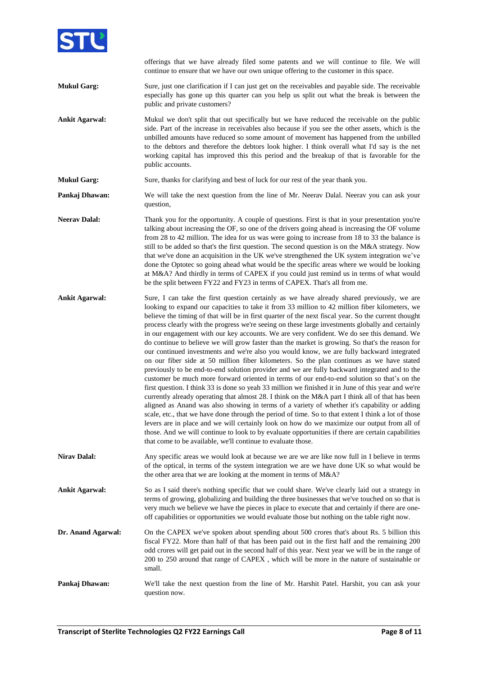

offerings that we have already filed some patents and we will continue to file. We will continue to ensure that we have our own unique offering to the customer in this space.

- **Mukul Garg:** Sure, just one clarification if I can just get on the receivables and payable side. The receivable especially has gone up this quarter can you help us split out what the break is between the public and private customers?
- **Ankit Agarwal:** Mukul we don't split that out specifically but we have reduced the receivable on the public side. Part of the increase in receivables also because if you see the other assets, which is the unbilled amounts have reduced so some amount of movement has happened from the unbilled to the debtors and therefore the debtors look higher. I think overall what I'd say is the net working capital has improved this this period and the breakup of that is favorable for the public accounts.
- **Mukul Garg:** Sure, thanks for clarifying and best of luck for our rest of the year thank you.
- **Pankaj Dhawan:** We will take the next question from the line of Mr. Neerav Dalal. Neerav you can ask your question,
- **Neerav Dalal:** Thank you for the opportunity. A couple of questions. First is that in your presentation you're talking about increasing the OF, so one of the drivers going ahead is increasing the OF volume from 28 to 42 million. The idea for us was were going to increase from 18 to 33 the balance is still to be added so that's the first question. The second question is on the M&A strategy. Now that we've done an acquisition in the UK we've strengthened the UK system integration we've done the Optotec so going ahead what would be the specific areas where we would be looking at M&A? And thirdly in terms of CAPEX if you could just remind us in terms of what would be the split between FY22 and FY23 in terms of CAPEX. That's all from me.
- Ankit Agarwal: Sure, I can take the first question certainly as we have already shared previously, we are looking to expand our capacities to take it from 33 million to 42 million fiber kilometers, we believe the timing of that will be in first quarter of the next fiscal year. So the current thought process clearly with the progress we're seeing on these large investments globally and certainly in our engagement with our key accounts. We are very confident. We do see this demand. We do continue to believe we will grow faster than the market is growing. So that's the reason for our continued investments and we're also you would know, we are fully backward integrated on our fiber side at 50 million fiber kilometers. So the plan continues as we have stated previously to be end-to-end solution provider and we are fully backward integrated and to the customer be much more forward oriented in terms of our end-to-end solution so that's on the first question. I think 33 is done so yeah 33 million we finished it in June of this year and we're currently already operating that almost 28. I think on the M&A part I think all of that has been aligned as Anand was also showing in terms of a variety of whether it's capability or adding scale, etc., that we have done through the period of time. So to that extent I think a lot of those levers are in place and we will certainly look on how do we maximize our output from all of those. And we will continue to look to by evaluate opportunities if there are certain capabilities that come to be available, we'll continue to evaluate those.
- **Nirav Dalal:** Any specific areas we would look at because we are we are like now full in I believe in terms of the optical, in terms of the system integration we are we have done UK so what would be the other area that we are looking at the moment in terms of M&A?
- **Ankit Agarwal:** So as I said there's nothing specific that we could share. We've clearly laid out a strategy in terms of growing, globalizing and building the three businesses that we've touched on so that is very much we believe we have the pieces in place to execute that and certainly if there are oneoff capabilities or opportunities we would evaluate those but nothing on the table right now.
- **Dr. Anand Agarwal:** On the CAPEX we've spoken about spending about 500 crores that's about Rs. 5 billion this fiscal FY22. More than half of that has been paid out in the first half and the remaining 200 odd crores will get paid out in the second half of this year. Next year we will be in the range of 200 to 250 around that range of CAPEX , which will be more in the nature of sustainable or small.
- **Pankaj Dhawan:** We'll take the next question from the line of Mr. Harshit Patel. Harshit, you can ask your question now.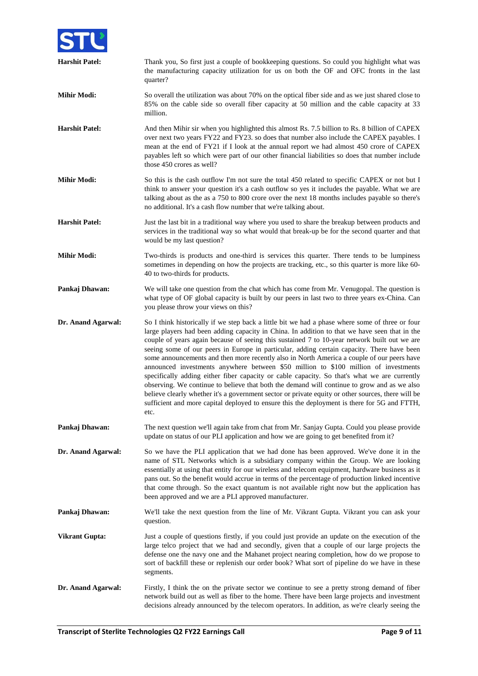

| <b>Harshit Patel:</b> | Thank you, So first just a couple of bookkeeping questions. So could you highlight what was<br>the manufacturing capacity utilization for us on both the OF and OFC fronts in the last<br>quarter?                                                                                                                                                                                                                                                                                                                                                                                                                                                                                                                                                                                                                                                                                                                                                                                               |
|-----------------------|--------------------------------------------------------------------------------------------------------------------------------------------------------------------------------------------------------------------------------------------------------------------------------------------------------------------------------------------------------------------------------------------------------------------------------------------------------------------------------------------------------------------------------------------------------------------------------------------------------------------------------------------------------------------------------------------------------------------------------------------------------------------------------------------------------------------------------------------------------------------------------------------------------------------------------------------------------------------------------------------------|
| <b>Mihir Modi:</b>    | So overall the utilization was about 70% on the optical fiber side and as we just shared close to<br>85% on the cable side so overall fiber capacity at 50 million and the cable capacity at 33<br>million.                                                                                                                                                                                                                                                                                                                                                                                                                                                                                                                                                                                                                                                                                                                                                                                      |
| <b>Harshit Patel:</b> | And then Mihir sir when you highlighted this almost Rs. 7.5 billion to Rs. 8 billion of CAPEX<br>over next two years FY22 and FY23. so does that number also include the CAPEX payables. I<br>mean at the end of FY21 if I look at the annual report we had almost 450 crore of CAPEX<br>payables left so which were part of our other financial liabilities so does that number include<br>those 450 crores as well?                                                                                                                                                                                                                                                                                                                                                                                                                                                                                                                                                                            |
| <b>Mihir Modi:</b>    | So this is the cash outflow I'm not sure the total 450 related to specific CAPEX or not but I<br>think to answer your question it's a cash outflow so yes it includes the payable. What we are<br>talking about as the as a 750 to 800 crore over the next 18 months includes payable so there's<br>no additional. It's a cash flow number that we're talking about.                                                                                                                                                                                                                                                                                                                                                                                                                                                                                                                                                                                                                             |
| <b>Harshit Patel:</b> | Just the last bit in a traditional way where you used to share the breakup between products and<br>services in the traditional way so what would that break-up be for the second quarter and that<br>would be my last question?                                                                                                                                                                                                                                                                                                                                                                                                                                                                                                                                                                                                                                                                                                                                                                  |
| <b>Mihir Modi:</b>    | Two-thirds is products and one-third is services this quarter. There tends to be lumpiness<br>sometimes in depending on how the projects are tracking, etc., so this quarter is more like 60-<br>40 to two-thirds for products.                                                                                                                                                                                                                                                                                                                                                                                                                                                                                                                                                                                                                                                                                                                                                                  |
| Pankaj Dhawan:        | We will take one question from the chat which has come from Mr. Venugopal. The question is<br>what type of OF global capacity is built by our peers in last two to three years ex-China. Can<br>you please throw your views on this?                                                                                                                                                                                                                                                                                                                                                                                                                                                                                                                                                                                                                                                                                                                                                             |
| Dr. Anand Agarwal:    | So I think historically if we step back a little bit we had a phase where some of three or four<br>large players had been adding capacity in China. In addition to that we have seen that in the<br>couple of years again because of seeing this sustained 7 to 10-year network built out we are<br>seeing some of our peers in Europe in particular, adding certain capacity. There have been<br>some announcements and then more recently also in North America a couple of our peers have<br>announced investments anywhere between \$50 million to \$100 million of investments<br>specifically adding either fiber capacity or cable capacity. So that's what we are currently<br>observing. We continue to believe that both the demand will continue to grow and as we also<br>believe clearly whether it's a government sector or private equity or other sources, there will be<br>sufficient and more capital deployed to ensure this the deployment is there for 5G and FTTH,<br>etc. |
| Pankaj Dhawan:        | The next question we'll again take from chat from Mr. Sanjay Gupta. Could you please provide<br>update on status of our PLI application and how we are going to get benefited from it?                                                                                                                                                                                                                                                                                                                                                                                                                                                                                                                                                                                                                                                                                                                                                                                                           |
| Dr. Anand Agarwal:    | So we have the PLI application that we had done has been approved. We've done it in the<br>name of STL Networks which is a subsidiary company within the Group. We are looking<br>essentially at using that entity for our wireless and telecom equipment, hardware business as it<br>pans out. So the benefit would accrue in terms of the percentage of production linked incentive<br>that come through. So the exact quantum is not available right now but the application has<br>been approved and we are a PLI approved manufacturer.                                                                                                                                                                                                                                                                                                                                                                                                                                                     |
| Pankaj Dhawan:        | We'll take the next question from the line of Mr. Vikrant Gupta. Vikrant you can ask your<br>question.                                                                                                                                                                                                                                                                                                                                                                                                                                                                                                                                                                                                                                                                                                                                                                                                                                                                                           |
| <b>Vikrant Gupta:</b> | Just a couple of questions firstly, if you could just provide an update on the execution of the<br>large telco project that we had and secondly, given that a couple of our large projects the<br>defense one the navy one and the Mahanet project nearing completion, how do we propose to<br>sort of backfill these or replenish our order book? What sort of pipeline do we have in these<br>segments.                                                                                                                                                                                                                                                                                                                                                                                                                                                                                                                                                                                        |
| Dr. Anand Agarwal:    | Firstly, I think the on the private sector we continue to see a pretty strong demand of fiber<br>network build out as well as fiber to the home. There have been large projects and investment<br>decisions already announced by the telecom operators. In addition, as we're clearly seeing the                                                                                                                                                                                                                                                                                                                                                                                                                                                                                                                                                                                                                                                                                                 |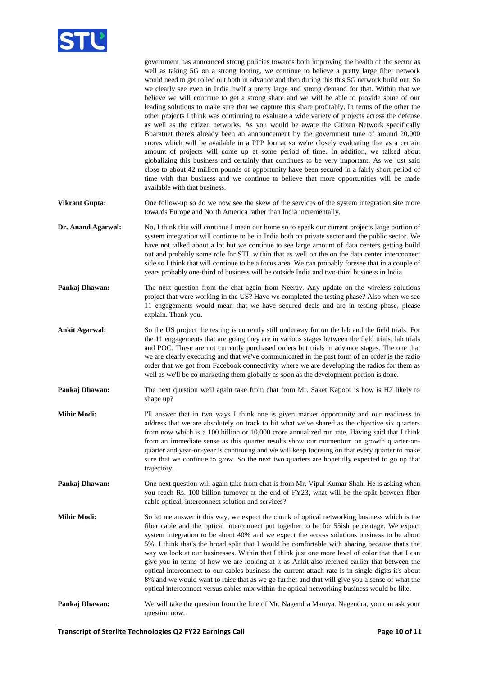

|                       | government has announced strong policies towards both improving the health of the sector as<br>well as taking 5G on a strong footing, we continue to believe a pretty large fiber network<br>would need to get rolled out both in advance and then during this this 5G network build out. So<br>we clearly see even in India itself a pretty large and strong demand for that. Within that we<br>believe we will continue to get a strong share and we will be able to provide some of our<br>leading solutions to make sure that we capture this share profitably. In terms of the other the<br>other projects I think was continuing to evaluate a wide variety of projects across the defense<br>as well as the citizen networks. As you would be aware the Citizen Network specifically<br>Bharatnet there's already been an announcement by the government tune of around 20,000<br>crores which will be available in a PPP format so we're closely evaluating that as a certain<br>amount of projects will come up at some period of time. In addition, we talked about<br>globalizing this business and certainly that continues to be very important. As we just said<br>close to about 42 million pounds of opportunity have been secured in a fairly short period of |
|-----------------------|--------------------------------------------------------------------------------------------------------------------------------------------------------------------------------------------------------------------------------------------------------------------------------------------------------------------------------------------------------------------------------------------------------------------------------------------------------------------------------------------------------------------------------------------------------------------------------------------------------------------------------------------------------------------------------------------------------------------------------------------------------------------------------------------------------------------------------------------------------------------------------------------------------------------------------------------------------------------------------------------------------------------------------------------------------------------------------------------------------------------------------------------------------------------------------------------------------------------------------------------------------------------------------|
|                       | time with that business and we continue to believe that more opportunities will be made<br>available with that business.                                                                                                                                                                                                                                                                                                                                                                                                                                                                                                                                                                                                                                                                                                                                                                                                                                                                                                                                                                                                                                                                                                                                                       |
| <b>Vikrant Gupta:</b> | One follow-up so do we now see the skew of the services of the system integration site more<br>towards Europe and North America rather than India incrementally.                                                                                                                                                                                                                                                                                                                                                                                                                                                                                                                                                                                                                                                                                                                                                                                                                                                                                                                                                                                                                                                                                                               |
| Dr. Anand Agarwal:    | No, I think this will continue I mean our home so to speak our current projects large portion of<br>system integration will continue to be in India both on private sector and the public sector. We<br>have not talked about a lot but we continue to see large amount of data centers getting build<br>out and probably some role for STL within that as well on the on the data center interconnect<br>side so I think that will continue to be a focus area. We can probably foresee that in a couple of<br>years probably one-third of business will be outside India and two-third business in India.                                                                                                                                                                                                                                                                                                                                                                                                                                                                                                                                                                                                                                                                    |
| Pankaj Dhawan:        | The next question from the chat again from Neerav. Any update on the wireless solutions<br>project that were working in the US? Have we completed the testing phase? Also when we see<br>11 engagements would mean that we have secured deals and are in testing phase, please<br>explain. Thank you.                                                                                                                                                                                                                                                                                                                                                                                                                                                                                                                                                                                                                                                                                                                                                                                                                                                                                                                                                                          |
| <b>Ankit Agarwal:</b> | So the US project the testing is currently still underway for on the lab and the field trials. For<br>the 11 engagements that are going they are in various stages between the field trials, lab trials<br>and POC. These are not currently purchased orders but trials in advance stages. The one that<br>we are clearly executing and that we've communicated in the past form of an order is the radio<br>order that we got from Facebook connectivity where we are developing the radios for them as<br>well as we'll be co-marketing them globally as soon as the development portion is done.                                                                                                                                                                                                                                                                                                                                                                                                                                                                                                                                                                                                                                                                            |
| Pankaj Dhawan:        | The next question we'll again take from chat from Mr. Saket Kapoor is how is H2 likely to<br>shape up?                                                                                                                                                                                                                                                                                                                                                                                                                                                                                                                                                                                                                                                                                                                                                                                                                                                                                                                                                                                                                                                                                                                                                                         |
| <b>Mihir Modi:</b>    | I'll answer that in two ways I think one is given market opportunity and our readiness to<br>address that we are absolutely on track to hit what we've shared as the objective six quarters<br>from now which is a 100 billion or 10,000 crore annualized run rate. Having said that I think<br>from an immediate sense as this quarter results show our momentum on growth quarter-on-<br>quarter and year-on-year is continuing and we will keep focusing on that every quarter to make<br>sure that we continue to grow. So the next two quarters are hopefully expected to go up that<br>trajectory.                                                                                                                                                                                                                                                                                                                                                                                                                                                                                                                                                                                                                                                                       |
| Pankaj Dhawan:        | One next question will again take from chat is from Mr. Vipul Kumar Shah. He is asking when<br>you reach Rs. 100 billion turnover at the end of FY23, what will be the split between fiber<br>cable optical, interconnect solution and services?                                                                                                                                                                                                                                                                                                                                                                                                                                                                                                                                                                                                                                                                                                                                                                                                                                                                                                                                                                                                                               |
| <b>Mihir Modi:</b>    | So let me answer it this way, we expect the chunk of optical networking business which is the<br>fiber cable and the optical interconnect put together to be for 55ish percentage. We expect<br>system integration to be about 40% and we expect the access solutions business to be about<br>5%. I think that's the broad split that I would be comfortable with sharing because that's the<br>way we look at our businesses. Within that I think just one more level of color that that I can<br>give you in terms of how we are looking at it as Ankit also referred earlier that between the<br>optical interconnect to our cables business the current attach rate is in single digits it's about<br>8% and we would want to raise that as we go further and that will give you a sense of what the<br>optical interconnect versus cables mix within the optical networking business would be like.                                                                                                                                                                                                                                                                                                                                                                       |
| Pankaj Dhawan:        | We will take the question from the line of Mr. Nagendra Maurya. Nagendra, you can ask your<br>question now                                                                                                                                                                                                                                                                                                                                                                                                                                                                                                                                                                                                                                                                                                                                                                                                                                                                                                                                                                                                                                                                                                                                                                     |